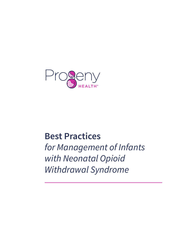

# **Best Practices**

*for Management of Infants with Neonatal Opioid Withdrawal Syndrome*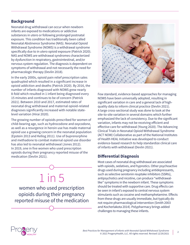# **Background**

Neonatal drug withdrawal can occur when newborn infants are exposed to medications or addictive substances in utero or following prolonged postnatal exposure. This condition has traditionally been called Neonatal Abstinence Syndrome (NAS). Neonatal Opioid Withdrawal Syndrome (NOWS) is a withdrawal syndrome specifically due to in utero opioid exposure (Patrick 2020). NAS and NOWS are withdrawal syndromes characterized by dysfunction in respiratory, gastrointestinal, and/or nervous system regulation. The diagnosis is dependent on symptoms of withdrawal and not necessarily the need for pharmacologic therapy (Devlin 2018).

In the early 2000s, opioid pain relief prescription sales quadrupled which resulted in a significant increase in opioid addiction and deaths (Patrick 2020). By 2016, the number of infants diagnosed with NOWS grew nearly 8-fold which resulted in 1 infant being diagnosed every 15 minutes and continues to be of concern (Patrick 2021). Between 2010 and 2017, estimated rates of neonatal drug withdrawal and maternal opioid-related diagnoses significantly increased with notable statelevel variation (Hirai 2020).

The growing number of opioids prescribed for women of child-bearing age, such as hydrocodone and oxycodone, as well as a resurgence in heroin use has made maternal opioid use a growing concern in the neonatal population (Epstein 2013 and Kellog 2011). Use of buprenorphine and methadone to combat maternal opioid use disorder has also led to neonatal withdrawal (Jones 2012). In 2019, one in five women who used prescription opioids during their pregnancy reported misuse of the medication (Devlin 2021).





Few standard, evidence-based approaches for managing NOWS have been universally adopted, resulting in significant variation in care and a general lack of highquality data to inform clinical practice (Devlin 2021). A large cross-sectional study was done to look at the site-to-site variation in several domains which further emphasized the lack of consistency. Due to the significant variation, infants may not be receiving efficient and effective care for withdrawal (Young 2020). The Advancing Clinical Trials in Neonatal Opioid Withdrawal Syndrome (ACT NOW) Collaborative as part of the National Institutes of Health HEAL Initiative was developed to conduct evidence-based research to help standardize clinical care of infants with withdrawal (Devlin 2021).

# **Differential Diagnosis**

Most cases of neonatal drug withdrawal are associated with opioids, sedatives, and hypnotics. Other psychoactive drugs used during pregnancy including antidepressants, such as selective serotonin reuptake inhibitors (SSRIs), antipsychotics and nicotine, can produce "withdrawallike" symptoms in the newborn infant. These symptoms should be treated with supportive care. Drug effects can be seen in infant's exposed to central nervous system stimulants such as cocaine and methamphetamine. Effects from these drugs are usually immediate, but typically do not require pharmacological intervention (Smith 2003 and Kocherlakota 2014). Polypharmacy brings added challenges to managing these infants.

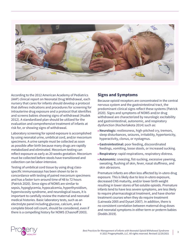

According to the 2012 American Academy of Pediatrics (AAP) clinical report on Neonatal Drug Withdrawal, each nursery that cares for infants should develop a protocol that defines indications and procedures for screening for intrauterine drug exposure and a protocol that identifies and screens babies showing signs of withdrawal (Hudek 2012). A standardized plan should be utilized for the evaluation and comprehensive treatment of infants at risk for, or showing signs of withdrawal.

Laboratory screening for opioid exposure is accomplished by using neonatal urine, umbilical cord, and/or meconium specimens. A urine sample must be collected as soon as possible after birth because many drugs are rapidly metabolized and eliminated. Meconium testing can reflect exposure as early as 20 weeks gestation. Meconium must be collected before stools have transitioned and collection can be labor-intensive.

Testing of umbilical cord tissue by using drug classspecific immunoassays has been shown to be in concordance with testing of paired meconium specimens and has a faster turn-around time of 48 to 72 hours (Patrick 2020). Since signs of NOWS are similar to sepsis, hypoglycemia, hypocalcemia, hyperthyroidism, hyperviscosity syndrome, and neurological issues, it is important to carefully review the maternal and neonatal medical histories. Basic laboratory tests, such as an electrolyte panel including glucose, calcium, and a complete blood cell count, should be considered, even if there is a compelling history for NOWS (Chasnoff 2003).

## **Signs and Symptoms**

Because opioid receptors are concentrated in the central nervous system and the gastrointestinal tract, the predominant clinical signs reflect these systems (Patrick 2020). Signs and symptoms of NOWS and/or drug withdrawal are characterized by neurologic excitability and gastrointestinal, autonomic, and respiratory dysfunction (Kocherlakota 2014) such as:

- **Neurologic:** restlessness, high-pitched cry, tremors, sleep disturbances, seizures, irritability, hypertonicity, hyperactivity, clonus, or nystagmus.
- **Gastrointestinal:** poor feeding, discoordinated feedings, vomiting, loose stools, or increased sucking.
- **Respiratory:** rapid respirations, respiratory distress.
- **Autonomic:** sneezing, fist-sucking, excessive yawning, sweating, flushing of skin, fever, nasal stuffiness, and skin abrasions.

Premature infants are often less affected by in-utero drug exposure. This is likely due to less in-utero exposure, decreased CNS maturity, and/or lower birth weight resulting in lower stores of fat-soluble opioids. Premature infants tend to have less severe symptoms, are less likely to require pharmacological treatment, and have shorter treatment courses when they do require treatment (Lainwala 2005 and Dysart 2007). In addition, there is no consistent correlation between maternal drug doses and neonatal symptoms in either term or preterm babies (Dodds 2019).

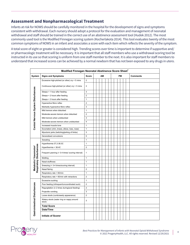## **Assessment and Nonpharmacological Treatment**

Infants at risk for NOWS should be carefully monitored in the hospital for the development of signs and symptoms consistent with withdrawal. Each nursery should adopt a protocol for the evaluation and management of neonatal withdrawal and staff should be trained in the correct use of an abstinence assessment tool (Hudek 2012). The most commonly used tool is the Modified Finnegan scoring system (Kocherlakota 2014). This tool evaluates twenty of the most common symptoms of NOWS in an infant and associates a score with each item which reflects the severity of the symptom.

A total score of eight or greater is considered high. Trending scores over time is important to determine if supportive and/ or pharmacologic treatment will be necessary. It is important that all staff members who use a withdrawal scoring tool be instructed in its use so that scoring is uniform from one staff member to the next. It is also important for staff members to  $u$ nderstand that increased scores can be achieved by a normal newborn that has not been exposed to any drugs in utero.

| Modified Finnegan Neonatal Abstinence Score Sheet <sup>1</sup> |                                                     |                |    |  |  |    |  |  |  |  |                 |  |  |  |
|----------------------------------------------------------------|-----------------------------------------------------|----------------|----|--|--|----|--|--|--|--|-----------------|--|--|--|
| System                                                         | <b>Signs and Symptoms</b>                           | <b>Score</b>   | AM |  |  | PM |  |  |  |  | <b>Comments</b> |  |  |  |
| Central Nervous System Disturbances                            | Excessive high-pitched (or other) cry < 5 mins      | 2              |    |  |  |    |  |  |  |  |                 |  |  |  |
|                                                                | Continuous high-pitched (or other) cry > 5 mins     | 3              |    |  |  |    |  |  |  |  |                 |  |  |  |
|                                                                | Sleeps < 1 hour after feeding                       | 3              |    |  |  |    |  |  |  |  |                 |  |  |  |
|                                                                | Sleeps < 2 hours after feeding                      | $\overline{2}$ |    |  |  |    |  |  |  |  |                 |  |  |  |
|                                                                | Sleeps < 3 hours after feeding                      | $\mathbf{1}$   |    |  |  |    |  |  |  |  |                 |  |  |  |
|                                                                | Hyperactive Moro reflex                             | $\overline{2}$ |    |  |  |    |  |  |  |  |                 |  |  |  |
|                                                                | Markedly hyperactive Moro reflex                    | 3              |    |  |  |    |  |  |  |  |                 |  |  |  |
|                                                                | Mild tremors when disturbed                         | $\mathbf{1}$   |    |  |  |    |  |  |  |  |                 |  |  |  |
|                                                                | Moderate-severe tremors when disturbed              | $\overline{2}$ |    |  |  |    |  |  |  |  |                 |  |  |  |
|                                                                | Mild tremors when undisturbed                       | 3              |    |  |  |    |  |  |  |  |                 |  |  |  |
|                                                                | Moderate-severe tremors when undisturbed            | $\overline{4}$ |    |  |  |    |  |  |  |  |                 |  |  |  |
|                                                                | Increased muscle tone                               | $\mathbf{1}$   |    |  |  |    |  |  |  |  |                 |  |  |  |
|                                                                | Excoriation (chin, knees, elbow, toes, nose)        | $\mathbf{1}$   |    |  |  |    |  |  |  |  |                 |  |  |  |
|                                                                | Myoclonic jerks (twitching/jerking of limbs)        | 3              |    |  |  |    |  |  |  |  |                 |  |  |  |
|                                                                | Generalised convulsions                             | 5              |    |  |  |    |  |  |  |  |                 |  |  |  |
| Respiratory Disturbances<br>Metabolic/ Vasomotor/              | Sweating                                            | $\mathbf{1}$   |    |  |  |    |  |  |  |  |                 |  |  |  |
|                                                                | Hyperthermia 37.2-38.3C                             | $\mathbf{1}$   |    |  |  |    |  |  |  |  |                 |  |  |  |
|                                                                | Hyperthermia > 38.4C                                | $\overline{2}$ |    |  |  |    |  |  |  |  |                 |  |  |  |
|                                                                | Frequent yawning (> 3-4 times/ scoring interval)    | 1              |    |  |  |    |  |  |  |  |                 |  |  |  |
|                                                                | Mottling                                            | $\mathbf{1}$   |    |  |  |    |  |  |  |  |                 |  |  |  |
|                                                                | Nasal stuffiness                                    | $\mathbf{1}$   |    |  |  |    |  |  |  |  |                 |  |  |  |
|                                                                | Sneezing (> 3-4 times/scoring interval)             | $\mathbf{1}$   |    |  |  |    |  |  |  |  |                 |  |  |  |
|                                                                | Nasal flaring                                       | $\overline{2}$ |    |  |  |    |  |  |  |  |                 |  |  |  |
|                                                                | Respiratory rate > 60/min                           | $\mathbf{1}$   |    |  |  |    |  |  |  |  |                 |  |  |  |
|                                                                | Respiratory rate > 60/min with retractions          | $\overline{2}$ |    |  |  |    |  |  |  |  |                 |  |  |  |
| Gastrointestinal Disturbances                                  | <b>Excessive sucking</b>                            | 1              |    |  |  |    |  |  |  |  |                 |  |  |  |
|                                                                | Poor feeding (infrequent/uncoordinated suck)        | $\overline{2}$ |    |  |  |    |  |  |  |  |                 |  |  |  |
|                                                                | Regurgitation ( $\geq 2$ times during/post feeding) | $\overline{2}$ |    |  |  |    |  |  |  |  |                 |  |  |  |
|                                                                | Projectile vomiting                                 | 3              |    |  |  |    |  |  |  |  |                 |  |  |  |
|                                                                | Loose stools (curds/seedy appearance)               | $\overline{2}$ |    |  |  |    |  |  |  |  |                 |  |  |  |
|                                                                | Watery stools (water ring on nappy around<br>stool) | 3              |    |  |  |    |  |  |  |  |                 |  |  |  |
|                                                                | <b>Total Score</b>                                  |                |    |  |  |    |  |  |  |  |                 |  |  |  |
|                                                                | Date/Time                                           |                |    |  |  |    |  |  |  |  |                 |  |  |  |
|                                                                | <b>Initials of Scorer</b>                           |                |    |  |  |    |  |  |  |  |                 |  |  |  |

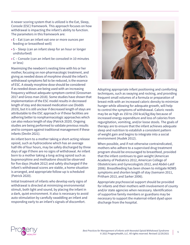A newer scoring system that is utilized is the Eat, Sleep, Console (ESC) framework. This approach focuses on how withdrawal is impacting the infant's ability to function. The parameters in this framework are:

- E Eat (can an infant eat one or more ounces per feeding or breastfeed well)
- S Sleep (can an infant sleep for an hour or longer undisturbed)
- C Console (can an infant be consoled in 10 minutes or less)

Maximizing the newborn's nesting time with his or her mother, focusing on non-pharmacologic treatment, and giving as needed doses of morphine should the infant's withdrawal symptoms fail to be reduced, is the essence of ESC. A steady morphine dose should be considered if as needed doses are being used with an increasing frequency without adequate symptom control (Grossman 2017 and Gross man 2018). Some studies have shown that implementation of the ESC model results in decreased length of stay and decreased medication use (Dodds 2019), but it is still unclear if decreased length of stays are attributable to the ESC approach or if these facilities are adhering better to nonpharmacologic approaches which can also reduce length of stay (Patrick 2020). Ongoing studies are being performed to validate previous results and to compare against traditional management if these infants (Devlin 2021).

An infant born to a mother taking a short-acting release opioid, such as hydrocodone which has an average half-life of four hours, may be safely discharged by three days of age if there are no signs of withdrawal. An infant born to a mother taking a long-acting opioid such as buprenorphine and methadone should be observed for five days (Hudek 2012) and safely discharged if the infant's withdrawal scores are stable, a home situation is arranged, and appropriate follow-up is scheduled (Patrick 2020).

Initial treatment of infants who develop early signs of withdrawal is directed at minimizing environmental stimuli, both light and sound, by placing the infant in a dark, quiet environment. It also is necessary to avoid auto-stimulation by carefully swaddling an infant and responding early to an infant's signals of discomfort.



Adopting appropriate infant positioning and comforting techniques, such as swaying and rocking, and providing frequent small volumes of a formula or preparation of breast milk with an increased caloric density to minimize hunger while allowing for adequate growth, will help to control the symptoms of withdrawal. Caloric needs may be as high as 150 to 250 kcal/kg/day because of increased energy expenditure and loss of calories from regurgitation, vomiting, and/or loose stools. The goals of therapy are to ensure that the infant achieves adequate sleep and nutrition to establish a consistent pattern of weight gain and begins to integrate into a social environment (Hudek 2012).

When possible, and if not otherwise contraindicated, mothers who adhere to a supervised drug treatment program should be encouraged to breastfeed, provided that the infant continues to gain weight (American Academy of Pediatrics 2012, American College of Obstetricians and Gynecologists 2012, and Abdel-Latif 2006). Breastfeeding has been shown to mitigate NOWS symptoms and shorten length of stay (Isemann 2011, Pritham 2013, and Sarker 2006).

Appropriate psychosocial support should be provided for infants and their mothers with involvement of county and/or state agencies when necessary. Identification of supportive family members or guardians may be necessary to support the maternal-infant dyad upon discharge from the hospital.

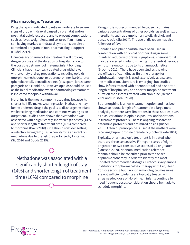#### **Pharmacologic Treatment**

Drug therapy is indicated to relieve moderate to severe signs of drug withdrawal caused by prenatal and/or postnatal opioid exposure and to prevent complications such as fever, weight loss, and seizures if an infant is still having marked withdrawal symptoms despite a committed program of non-pharmacologic support (Hudek 2012).

Unnecessary pharmacologic treatment will prolong drug exposure and the duration of hospitalization to the possible detriment of maternal infant bonding. Clinicians have historically treated drug withdrawal with a variety of drug preparations, including opioids (morphine, methadone, or buprenorphine), barbiturates (phenobarbital), benzodiazepines (diazepam, lorazepam), paregoric and clonidine. However, opioids should be used as the initial medication when pharmacologic treatment is indicated for opioid withdrawal.

Morphine is the most commonly used drug because its shorter half-life makes weaning easier. Methadone may be the preferred drug if the goal is to discharge the infant while receiving medication and continue weaning as an outpatient. Studies have shown that Methadone was associated with a significantly shorter length of stay (14%) and shorter length of treatment time (16%) compared to morphine (Davis 2018). One should consider getting an electrocardiogram (ECG) when starting an infant on methadone due to the risk of a prolonged QT interval (Siu 2014 and Dodds 2019).

Methadone was associated with a significantly shorter length of stay (14%) and shorter length of treatment time (16%) compared to morphine

Paregoric is not recommended because it contains variable concentrations of other opioids, as well as toxic ingredients such as camphor, anise oil, alcohol, and benzoic acid (Siu 2014). The use of diazepam has also fallen out of favor.

Clonidine and phenobarbital have been used in combination with an opioid or other drug in some infants to reduce withdrawal symptoms. Phenobarbital may be preferred if infant is having more central nervous symptom symptoms due to its pharmacokinetics (Broome 2011). There have been studies showing the efficacy of clonidine as first-line therapy for withdrawal, though it is used extensively as a secondline medication. Literature is emerging, but studies show infants treated with phenobarbital had a shorter length of hospital stay and shorter morphine treatment duration than infants treated with clonidine (Merhar 2021 and Brusseau 2020).

Buprenorphine is a new treatment option and has been shown to reduce length of treatment in a large metaanalysis, but there were limitations in these studies, such as bias, variations in opioid exposures, and variations in treatment protocols. There is ongoing research to determine protocols and optimized dosing (Disher 2019). Often buprenorphine is used if the mothers were receiving buprenorphine prenatally (Kocherlakota 2014).

Typically, pharmacologic treatment is initiated when there are three consecutive Finnegan scores of eight or greater, or two consecutive scores of 12 or greater (Jansson 2009). Neonatal medication reference manuals should be consulted prior to the onset of pharmacotherapy in order to identify the most updated recommended dosages. Protocols vary among institutions for pharmacologic therapy with Eat, Sleep, Console scoring but if nonpharmacological measures are not sufficient, infants are typically treated with an as needed dose of Morphine. If infants continue to need frequent doses, consideration should be made to schedule morphine.

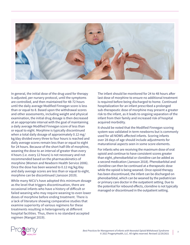

In general, the initial dose of the drug used for therapy is adjusted, per nursery protocol, until the symptoms are controlled, and then maintained for 48-72 hours until the daily average Modified Finnegan score is less than or equal to 8. Based upon the withdrawal scores and other assessments, including weight and physical examination, the initial drug dosage is then decreased at an appropriate interval with the goal of maintaining a daily average Modified Finnegan score of less than or equal to eight. Morphine is typically discontinued when a total daily dosage of approximately 0.12 mg/ kg/day divided every three to four hours is reached and daily average scores remain less than or equal to eight for 24 hours. Because of the short half-life of morphine, weaning the dose to an interval of greater than every 4 hours (i.e. every 12 hours) is not necessary and not recommended based on the pharmacokinetics of morphine (Women and Newborn Health Service 2006). Once the dose has been weaned to 0.12 mg/kg/day and daily average scores are less than or equal to eight, morphine can be discontinued (Jansson 2019).

While many NICU's have adopted this minimum dosage as the level that triggers discontinuation, there are occasional infants who have a history of difficult or failed weaning who may require weaning to even lower doses of morphine before ending treatment. There is a lack of literature showing comparative studies that examine superiority of various regimens for these treatments resulting in heterogeneity at different hospital facilities. Thus, there is no standard accepted regimen (Mangat 2019).

The infant should be monitored for 24 to 48 hours after last dose of morphine to ensure no additional treatment is required before being discharged to home. Continued hospitalization for an infant prescribed a prolonged sub-therapeutic dose of morphine may present a greater risk to the infant, as it leads to ongoing separation of the infant from their family and increased risk of hospital acquired morbidity.

It should be noted that the Modified Finnegan scoring system was validated in term newborns but is commonly used for all NOWS-affected infants. Scoring infants over 28 days of age should include adjustments for maturational aspects seen in some score elements.

For infants who are receiving the maximum dose of oral opioid and continue to have consistent scores greater than eight, phenobarbital or clonidine can be added as a second medication (Jansson 2018). Phenobarbital and clonidine can then be continued at a therapeutic dose while the opioid is being weaned. Once opioid therapy has been discontinued, the infant can be discharged on phenobarbital, which can be weaned by the pediatrician or primary care doctor in the outpatient setting. Due to the potential for rebound effects, clonidine is not typically managed or discontinued in the outpatient setting.

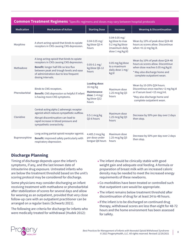| <b>Common Treatment Regimens</b> *Specific regimens and doses may vary between hospital protocols |                                                                                                                                                                                                                                           |                                                                                            |                                                                                            |                                                                                                                                                                        |  |  |  |  |
|---------------------------------------------------------------------------------------------------|-------------------------------------------------------------------------------------------------------------------------------------------------------------------------------------------------------------------------------------------|--------------------------------------------------------------------------------------------|--------------------------------------------------------------------------------------------|------------------------------------------------------------------------------------------------------------------------------------------------------------------------|--|--|--|--|
| Medication                                                                                        | <b>Mechanism of Action</b>                                                                                                                                                                                                                | <b>Starting Dose</b>                                                                       | <b>Increase</b>                                                                            | <b>Weaning &amp; Discontinuation</b>                                                                                                                                   |  |  |  |  |
| Morphine                                                                                          | A short-acting opioid that binds to opiate<br>receptors in CNS causing CNS depression.                                                                                                                                                    | $0.04 - 0.05$ mg/<br>kg/dose Q3-4<br>hours                                                 | $0.04 - 0.05$ mg/<br>kg/dose to max<br>0.2 mg/kg/dose<br>(maximum daily<br>dose 1 mg/kg/d) | Wean by 10% of peak dose Q24-48<br>hours as scores allow. Discontinue<br>when $<$ 0.12 mg/kg/d.                                                                        |  |  |  |  |
| Methadone                                                                                         | A long-acting opioid that binds to opiate<br>receptors in CNS causing CNS depression.<br>Benefit: longer half-life so less flux<br>between peak and trough levels and ease<br>of administration due to less frequent<br>dosing intervals. | $0.05 - 0.1$ mg/<br>kg/dose Q6-12<br>hours                                                 | 0.05 mg/kg/dose<br>to a maximum<br>daily dose 1 mg/<br>kg/d                                | Wean by 10% of peak dose Q24-48<br>hours as scores allow. Discontinue<br>when dose reaches 0.05 mg/kg/d.<br>* May also discharge home and<br>complete outpatient wean. |  |  |  |  |
| Phenobarbital                                                                                     | Binds to CNS receptors.<br>Benefit: CNS depression so helpful if infant<br>is having more CNS symptoms.                                                                                                                                   | <b>Loading dose:</b><br>16 mg/kg<br>Maintenance<br>dose: $1-4$ mg/<br>kg/dose Q12<br>hours | Maximum dose<br>1.25 mcg/kg Q3<br>hours                                                    | Wean by 10-20% Q24 hours.<br>Discontinue once reaches <2 mg/kg/d<br>or if serum level <15 mcg/ml.<br>*May also discharge home and<br>complete outpatient wean.         |  |  |  |  |
| Clonidine                                                                                         | Central-acting alpha 2 adrenergic receptor<br>agonist which reduces sympathetic outflow.<br>Abrupt discontinuation can lead to<br>rapid increase in blood pressure and<br>sympathetic overactivity.                                       | $0.5-1$ mcg/kg<br>Q3-6 hours                                                               | Maximum dose<br>1.25 mcg/kg Q3<br>hours                                                    | Decrease by 50% per day over 2 days<br>then stop.                                                                                                                      |  |  |  |  |
| Buprenorphine                                                                                     | Long-acting partial opioid receptor agonist.<br>Benefit: improved safety particularly with<br>respiratory depression.                                                                                                                     | 4.405.3 mcg/kg<br>per dose under<br>tongue Q8 hours                                        | Maximum dose<br>1.25 mcg/kg Q3<br>hours                                                    | Decrease by 50% per day over 2 days<br>then stop.                                                                                                                      |  |  |  |  |

# **Discharge Planning**

Timing of discharge depends upon the infant's symptoms, if any, and the last known date of intrauterine drug exposure. Untreated infants who are below the treatment threshold based on the unit's scoring protocol may be considered for discharge.

Some physicians may consider discharging an infant receiving treatment with methadone or phenobarbital after stabilization of scores for several days and allow for weaning as an outpatient, provided that very close follow-up care with an outpatient practitioner can be arranged on a regular basis (Schwartz 2021).

The following are criteria for discharge for infants who were medically treated for withdrawal (Hudek 2012):

- The infant should be clinically stable with good weight gain and adequate oral feeding. A formula or preparation of breast milk with an increased caloric density may be needed to meet the increased energy requirements of these newborns.
- Co-morbidities have been treated or controlled such that outpatient care would be appropriate.
- The infant remains below treatment threshold after discontinuation of drug for at least 24 to 48 hours.
- If the infant is to be discharged on continued drug therapy, withdrawal scores are less than eight for 48-72 hours and the home environment has been assessed for safety.

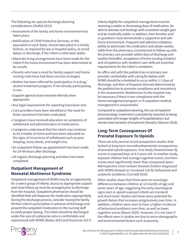The following are special discharge planning considerations (Hudek 2012):

- Assessment of the family and home environment has taken place.
- Notification of Child Protective Services, or the equivalent in each State, should take place in a timely fashion, as required by law or hospital policy, to avoid delays in discharge, if the infant is otherwise stable.
- Alternate living arrangements have been made for the infant if the home environment has been determined to be unsafe.
- Parents who have a need for family support and home nursing visits have had these services arranged.
- Mother has been referred for participation in a drug/ alcohol treatment program, if not already participating in one.
- Support agencies have received referrals when appropriate.
- Any legal requirements for reporting have been met.
- Care providers have been identified or the need for foster placement has been evaluated.
- Caregivers have received education on symptoms of withdrawal and administration of medications.
- Caregivers understand that the infant may continue to be irritable at home and have been educated on the signs of recurrence of withdrawal such as poor sleeping, loose stools, and weight loss.
- An outpatient follow-up appointment has been made for 24-48 hours after discharge.
- All regular discharge planning activities have been completed.

# **Outpatient Management of Neonatal Abstinence Syndrome**

Outpatient management of NOWS may be an opportunity for a select group of infants. Access to appropriate support and close follow-up must be arranged prior to discharge from the hospital. Outpatient pharmacies should be identified that will dispense the medication appropriately. During the discharge process, consider having the family fill their infant's prescription in advance of discharge and present the outpatient medication to the nursing staff to verify proper dosing. The infant should be discharged under the care of a physician who is comfortable and experienced with NOWS (Badas 2015 and Grossman 2017).

Infants eligible for outpatient management must be receiving a stable or decreasing dose of medication, be able to tolerate oral feedings with consistent weight gain and be medically stable. In addition, their families and/ or guardians must demonstrate a supportive and safe home environment. Frequent and attentive visitation, ability to administer the medication and obtain weekly refills from the pharmacy, commitment to follow-up with the primary care provider within days of discharge and weekly thereafter, acceptance of home nursing visitation and competence with newborn care skills are essential requirements for the infant's caretakers.

An office visit with the pediatrician or primary care provider comfortable with caring for babies with NOWS should be scheduled to occur within 1-2 days of discharge, and then at frequent intervals determined by the pediatrician to promote compliance and consistency in the assessments. Readmission to the hospital may be necessary if there is non-compliance with the home management program or if outpatient medical management is unsuccessful.

Compared to outpatient weaning, the use of inpatient pharmacologic treatment is consistently reported as being associated with longer lengths of hospitalization, but shorter total duration of treatment (Murphy-Oikonen 2018).

# **Long-Term Consequences Of Prenatal Exposure To Opioids**

There are only several recent prospective studies that looked at long-term neurodevelopmental consequences of prenatal opioid exposure. One study showed lower IQ scores in exposed boys at 8.5 years old. In another study, exposed children had average cognitive scores, but their scores were significantly lower than unexposed peers. Retrospective chart reviews showed children diagnosed with NOWS showed an increased risk for behavioral and academic problems (Conradt 2019).

Other studies show that there were no neurologic differences between children at 12 months of age and seven years of age, suggesting the early neurological signs seen in opioid-exposed infants are transient and short-lived. Studies did show some potential for growth failure that increases progressively over time. In addition, children were seen to have a higher incidence of behavioral problems over time, as well as lower cognitive scores (Bauer 2020). However, it is not clear if the effects seen in studies are due to socio-demographic and environmental factors such as poverty.

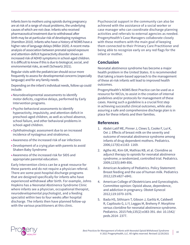Infants born to mothers using opioids during pregnancy are at risk of a range of visual problems, the underlying causes of which are not clear. Infants who received pharmaceutical treatment due to withdrawal after birth may be at particular risk of developing nystagmus (Hamilton 2010). Infants who have a history of NOWS have a higher rate of language delays (Miller 2020). A recent metaanalysis of association between prenatal opioid exposure and attention-deficit hyperactivity disorder shows an increased risk of ADHD symptoms in school-aged children. It is difficult to know if this is due to biological, social, and environmental risks, as well (Schwartz 2021).

Regular visits with the pediatrician should occur more frequently to assess for developmental concerns (especially language) and for any family needs.

Depending on the infant's individual needs, follow up could include:

- Neurodevelopmental assessments to identify motor deficits, cognitive delays, performed by Early Intervention programs.
- Psycho-behavioral assessments to identify hyperactivity, impulsivity, and attention-deficit in preschool-aged children, as well as school absence, school failure, and other behavioral problems in school-aged children.
- Ophthalmologic assessment due to an increased incidence of nystagmus and strabismus.
- Awareness of the increased risk of ear infections
- Development of a crying plan with parents to avoid Shaken Baby Syndrome
- Awareness of the increased risk for SIDS and appropriate parental education.

Early Intervention clinics can be a great resource for these parents and do not require a physician referral. There are some post-hospital discharge programs that are designed specifically for infants who have experienced withdrawal after birth. For example, Johns Hopkins has a Neonatal Abstinence Syndrome Clinic where infants see a physician, occupational therapist, neurodevelopmental psychologist, and a feeding specialist within two to four weeks after hospital discharge. The infants then have planned follow-up with the various practitioners at this clinic.

Psychosocial support in the community can also be achieved with the assistance of a social worker or case manager who can coordinate discharge planning activities and referrals to external agencies as needed. ProgenyHealth's Case Managers collaborate closely with these mothers with the main goal of keeping them connected to their Primary Care Practitioner and being able to recognize early on any red flags for the infant or mother.

## **Conclusion**

Neonatal abstinence syndrome has become a major health problem in the United States. It is recommended that taking a team-based approach to the management of these at-risk infants will lead to improved health outcomes.

ProgenyHealth's NOWS Best Practice can be used as a resource for NICUs, to assist in the creation of internal guidelines and/or protocols for management of these cases. Having such a guideline is a crucial first step in achieving successful clinical outcomes, while also assuring a safe and comprehensive discharge plan is in place for these infants and their families.

## **References**

- 1. Abdel-Latif ME, Pinner J, Clews S, Cooke F, Lui K, Oei J. Effects of breast milk on the severity and outcome of neonatal abstinence syndrome among infants of drug-dependent mothers. Pediatrics. 2006;117(6):e1163- 1169.
- 2. Agthe AG, Kim GR, Mathias KB, et al. Clonidine as adjunct therapy to opioids for neonatal abstinence syndrome; a randomized, controlled trial. Pediatrics. 2009;123(5):849-856.
- 3. American Academy of Pediatrics. Policy Statement: Breast feeding and the use of human milk. Pediatrics 2012;129:e827-e841.
- 4. American College of Obstetricians and Gynecologists. Committee opinion: Opioid abuse, dependence, and addiction in pregnancy. Obstet Gynecol 2012;119:1070-1076.
- 5. Bada HS, Sithisarn T, Gibson J, Garlitz K, Caldwell R, Capilouto G, Li Y, Leggas M, Breheny P. Morphine versus clonidine for neonatal abstinence syndrome. Pediatrics. 2015 Feb;135(2):e383-391. doi: 10.1542/ peds.2014- 2377.

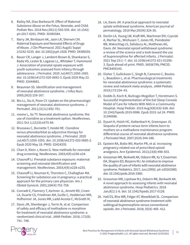- 6. Bailey NA, Diaz-Barbosa M. Effect of Maternal Substance Abuse on the Fetus, Neonate, and Child. Pediatr Rev. 2018 Nov;39(11):550-559. doi: 10.1542/ pir.2017-0201. PMID: 30385584.
- 7. Barry JM, Birnbaum AK, Jasin LR, Sherwin CM. Maternal Exposure and Neonatal Effects of Drugs of Abuse. J Clin Pharmacol. 2021 Aug;61 Suppl 2:S142-S155. doi: 10.1002/jcph.1928. PMID: 34396555.
- 8. Bauer CR, Langer J, Lambert-Brown B, Shankaran S, Bada HS, Lester B, Lagasse LL, Whitaker T, Hammond J. Association of prenatal opiate exposure with youth outcomes assessed from infancy through adolescence. J Perinatol. 2020 Jul;40(7):1056-1065. doi: 10.1038/s41372-020-0692-3. Epub 2020 May 22. PMID: 32444681.
- 9. Beauman SS. Identification and management of neonatal abstinence syndrome. J Infus Nurs. 2005;28(3):159-167.
- 10. Bio LL, Siu A, Poon CY. Update on the pharmacologic management of neonatal abstinence syndrome. J Perinatol. 2011;31(11):692-701.
- 11. roome L, So TY. Neonatal abstinence syndrome: the use of clonidine as a treatment option. NeoReviews. 2011 Oct 1;12(10):e575-84.
- 12. Brusseau C, Burnette T, Heidel RE. Clonidine versus phenobarbital as adjunctive therapy for neonatal abstinence syndrome. J Perinatol. 2020 Jul;40(7):1050-1055. doi: 10.1038/s41372-020-0685-2. Epub 2020 May 18. PMID: 32424335.
- 13. Chan D, Klein J, Koren G. New methods for neonatal drug screening. NeoReviews. 2003;4(9):e236-e24.
- 14. Chasnoff IJ. Prenatal substance exposure: maternal screening and neonatal identification and management. NeoReviews. 2003;4(9):e228-e235.
- 15. Chasnoff IJ, Neuman K, Thornton C, Challaghan MA. Screening for substance use in pregnancy: a practical approach for the primary care physician. Am J Obstet Gynecol. 2001;184(4):752-758.
- 16. Conradt E, Flannery T, Aschner JL, Annett RD, Croen LA, Duarte CS, Friedman AM, Guille C, Hedderson MM, Hofheimer JA, Jones MR, Ladd-Acosta C, McGrath M,
- 17. Davis JM, Shenberger J, Terrin N, et al. Comparison of safety and efficacy of methadone vs morphine for treatment of neonatal abstinence syndrome: a randomized clinical trial. JAMA Pediatr. 2018; 172(8): 741- 748.
- 18. LA, Davis JM. A practical approach to neonatal opiate withdrawal syndrome. American journal of perinatology. 2018 Mar;35(04):324-30.
- 19. Devlin LA, Young LW, Kraft WK, Wachman EM, Czynski A, Merhar SL, Winhusen T, Jones HE, Poindexter BB, Wakschlag LS, Salisbury AL, Matthews AG, Davis JM. Neonatal opioid withdrawal syndrome: a review of the science and a look toward the use of buprenorphine for affected infants. J Perinatol. 2021 Sep 23:1–7. doi: 10.1038/s41372-021-01206- 3. Epub ahead of print. PMID: 34556799; PMCID: PMC8459143.
- 20. Disher T, Gullickson C, Singh B, Cameron C, Boulos L, Beaubien L, et al. Pharmacological treatments for neonatal abstinence syndrome: a systematic review and network meta-analysis. JAMA Pediatr. 2019;173:234–43.
- 21. Dodds D, Koch K, Buitrago-Mogollon T, Horstmann S. Successful Implementation of the Eat Sleep Console Model of Care for Infants With NAS in a Community Hospital. Hosp Pediatr. 2019 Aug;9(8):632-638. doi: 10.1542/hpeds.2019-0086. Epub 2019 Jul 24. PMID: 31340986.
- 22. Dysart K, Hsieh HC, Kaltenbach K, Greenspan JS. Sequela of preterm versus term infants born to mothers on a methadone maintenance program: differential course of neonatal abstinence syndrome. J Perinatol Med. 2007;35(4):344-346.
- 23. Epstein RA, Bobo WV, Martin PR, et al. Increasing pregnancy-related use of prescribed opioid analgesics. Ann Epidemiol. 2013;23(8):498-503.
- 24. Grossman MR, Berkwitt AK, Osborn RR, Xu Y, Esserman DA, Shapiro ED, Bizzarro MJ. An initiative to improve the quality of care of infants with neonatal abstinence syndrome. Pediatrics. 2017; Jun;139(6). pii: e20163360. doi: 10.1542/peds.2016-3360.
- 25. Grossman MR, Lipshaw MJ, Osborn RR, Berkwitt AK. A novel approach to assessing infants with neonatal abstinence syndrome. Hosp Pediatrics. 2018 Jan;8(1):1-6. doi: 10.1542/hpeds.2017-0128.
- 26. Hall ES, Rice WR, Folger AT, Wexelblatt SL. Comparison of neonatal abstinence syndrome treatment with sublingual buprenorphine versus conventional opioids. Am J Perinatol. 2018; 35(4): 405- 412.

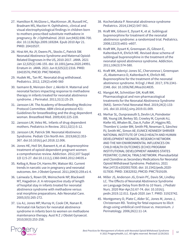- 27. Hamilton R, McGlone L, MacKinnon JR, Russell HC, Bradnam MS, Mactier H. Ophthalmic, clinical and visual electrophysiological findings in children born to mothers prescribed substitute methadone in pregnancy. Br J Ophthalmol. 2010 Jun;94(6):696-700. doi: 10.1136/bjo.2009.169284. Epub 2010 Apr 21. PMID: 20410537.
- 28. Hirai AH, Ko JY, Owens PL, Stocks C, Patrick SW. Neonatal Abstinence Syndrome and Maternal Opioid-Related Diagnoses in the US, 2010-2017. JAMA. 2021 Jan 12;325(2):146-155. doi: 10.1001/jama.2020.24991. Erratum in: JAMA. 2021 Jun 8;325(22):2316. PMID: 33433576; PMCID: PMC7804920.
- 29. Hudek ML, Tan RC. Neonatal drug withdrawal. Pediatrics. 2012; 129(2):e540-560
- 30. Isemann B, Meinzen-Derr J, Akinbi H. Maternal and neonatal factors impacting response to methadone therapy in infants treated for neonatal abstinence syndrome. J Perinatol. 2011;31(1):25-29.
- 31. Jansson LM. The Academy of Breastfeeding Medicine Protocol Committee. ABM clinical protocol #21: Guidelines for breastfeeding and the drug dependent woman. Breastfeed Med. 2009;4(4):225-228.
- 32. Jansson LM, Velez ML. Infants of drug-dependent mothers. Pediatrics in Review. 2011;32(1):5-12.
- 33. Jansson LM, Patrick SW. Neonatal Abstinence Syndrome. Pediatr Clin North Am. 2019;66(2):353- 367. doi:10.1016/j.pcl.2018.12.006.
- 34. Jones HE, Heil SH, Baewert A, et al. Buprenorphine treatment of opioid-dependent pregnant women: a comprehensive review. Addiction. 2012;107 Suppl 1(0 1):5-27. doi:10.1111/j.1360-0443.2012.04035.x
- 35. Kellog A, Rose CH, Harms RH, Watson WJ. Current trends in narcotic use in pregnancy and neonatal outcomes. Am J Obstet Gynecol. 2011;204(3):259.e1-4.
- 36. Lainwala S, Rown ER, Weinschenk NP, Blackwell MT, Hagadron JI. A retrospective study of length of hospital stay in infants treated for neonatal abstinence syndrome with methadone versus oral morphine preparations. Adv Neonatal Care. 2005;5(5):265-272.
- 37. Liu AJ, Jones MP, Murray H, Cook CM, Nanan R. Perinatal risk factors for neonatal abstinence syndrome in infants born to women on methadone maintenance therapy. Aust N Z J Obstet Gynaecol. 2010;50(3):253-258.
- 38. Kocherlakota P. Neonatal abstinence syndrome Pediatrics. 2014;134(2):547-561.
- 39. Kraft WK, Gibson E, Dysart K, et al. Sublingual buprenorphine for treatment of the neonatal abstinence syndrome: a randomized trial. Pediatrics. 2008;122(3):e601–e607.
- 40. Kraft WK, Dysart K, Greenspan JS, Gibson E, Kaltenbach K, Ehrlich ME. Revised dose schema of sublingual buprenorphine in the treatment of the neonatal opioid abstinence syndrome. Addiction. 2011;106(3):574-580.
- 41. Kraft WK, Adeniyi-Jones SC, Chervoneva I, Greenspan JS, Abatemarco D, Kaltenbach K, Ehrlich ME. Buprenorphine for the treatment of the neonatal abstinence syndrome. N Engl J Med. 2017; 376:2341- 2348. doi: 10.1056/NEJMoa1614835.
- 42. Mangat AK, Schmölzer GM, Kraft WK. Pharmacological and non-pharmacological treatments for the Neonatal Abstinence Syndrome (NAS). Semin Fetal Neonatal Med. 2019;24(2):133- 141. doi:10.1016/j.siny.2019.01.009.
- 43. Merhar SL, Ounpraseuth S, Devlin LA, Poindexter BB, Young LW, Berkey SD, Crowley M, Czynski AJ, Kiefer AS, Whalen BL, Das A, Fuller JF, Higgins RD, Thombre V, Lester BM, Smith PB, Newman S, Sánchez PJ, Smith MC, Simon AE; EUNICE KENNEDY SHRIVER NATIONAL INSTITUTE OF CHILD HEALTH AND HUMAN DEVELOPMENT NEONATAL RESEARCH NETWORK AND THE NIH ENVIRONMENTAL INFLUENCES ON CHILD HEALTH OUTCOMES (ECHO) PROGRAM INSTITUTIONAL DEVELOPMENT AWARDS STATES PEDIATRIC CLINICAL TRIALS NETWORK. Phenobarbital and Clonidine as Secondary Medications for Neonatal Opioid Withdrawal Syndrome. Pediatrics. 2021 Mar;147(3):e2020017830. doi: 10.1542/peds.2020- 017830. PMID: 33632932; PMCID: PMC7919109.
- 44. Miller JS, Anderson JG, Erwin PC, Davis SK, Lindley LC. The Effects of Neonatal Abstinence Syndrome on Language Delay from Birth to 10 Years. J Pediatr Nurs. 2020 Mar-Apr;51:67-74. doi: 10.1016/j. pedn.2019.12.011. Epub 2020 Jan 7. PMID: 31923742.
- 45. Montgomery D, Plate C, Alder SC, Jones M, Jones J, Christensen RD. Testing for fetal exposure to illicit drugs using umbilical cord tissue vs. meconium. J Perinatology. 2006;26(1):11-14.